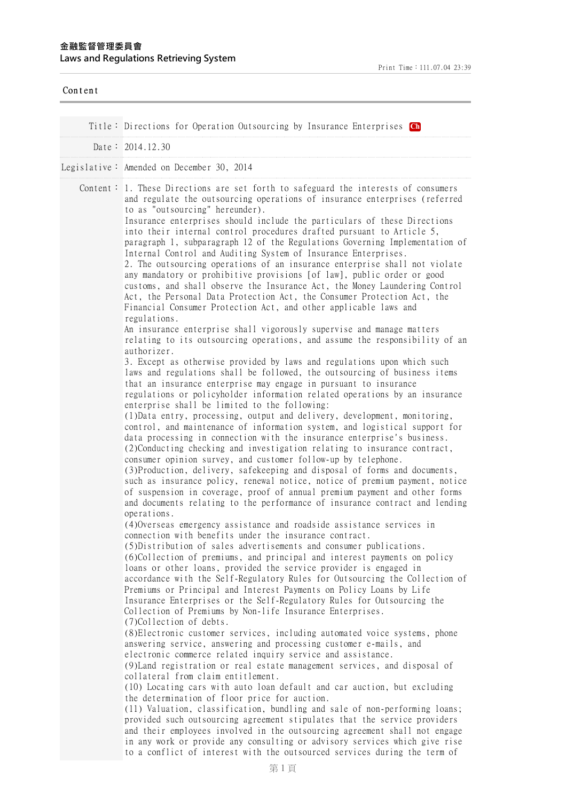| Content |                                                                                                                                                                                                                                                                                                                                                                                                                                                                                                                                                                                                                                                                                                                                                                                                                                                                                                                                                                                                                                                                                                                                                                                                                                                                                                                                                                                                                                                                                                                                                                                                                                                                                                                                                                                                                                                                                                                                                                                                                                                                                                                                                                                                                                                                                                                                                                                                                                                                                                                                                                                                                                                                                                                                                                                                                                                                                                                                                                                                                                                                                                                                                                                                                                                                                                                                                                                                                                                                                                                                                                                                                                                                                                                                        |
|---------|----------------------------------------------------------------------------------------------------------------------------------------------------------------------------------------------------------------------------------------------------------------------------------------------------------------------------------------------------------------------------------------------------------------------------------------------------------------------------------------------------------------------------------------------------------------------------------------------------------------------------------------------------------------------------------------------------------------------------------------------------------------------------------------------------------------------------------------------------------------------------------------------------------------------------------------------------------------------------------------------------------------------------------------------------------------------------------------------------------------------------------------------------------------------------------------------------------------------------------------------------------------------------------------------------------------------------------------------------------------------------------------------------------------------------------------------------------------------------------------------------------------------------------------------------------------------------------------------------------------------------------------------------------------------------------------------------------------------------------------------------------------------------------------------------------------------------------------------------------------------------------------------------------------------------------------------------------------------------------------------------------------------------------------------------------------------------------------------------------------------------------------------------------------------------------------------------------------------------------------------------------------------------------------------------------------------------------------------------------------------------------------------------------------------------------------------------------------------------------------------------------------------------------------------------------------------------------------------------------------------------------------------------------------------------------------------------------------------------------------------------------------------------------------------------------------------------------------------------------------------------------------------------------------------------------------------------------------------------------------------------------------------------------------------------------------------------------------------------------------------------------------------------------------------------------------------------------------------------------------------------------------------------------------------------------------------------------------------------------------------------------------------------------------------------------------------------------------------------------------------------------------------------------------------------------------------------------------------------------------------------------------------------------------------------------------------------------------------------------------|
|         | Title: Directions for Operation Outsourcing by Insurance Enterprises Ch                                                                                                                                                                                                                                                                                                                                                                                                                                                                                                                                                                                                                                                                                                                                                                                                                                                                                                                                                                                                                                                                                                                                                                                                                                                                                                                                                                                                                                                                                                                                                                                                                                                                                                                                                                                                                                                                                                                                                                                                                                                                                                                                                                                                                                                                                                                                                                                                                                                                                                                                                                                                                                                                                                                                                                                                                                                                                                                                                                                                                                                                                                                                                                                                                                                                                                                                                                                                                                                                                                                                                                                                                                                                |
|         | Date: $2014.12.30$                                                                                                                                                                                                                                                                                                                                                                                                                                                                                                                                                                                                                                                                                                                                                                                                                                                                                                                                                                                                                                                                                                                                                                                                                                                                                                                                                                                                                                                                                                                                                                                                                                                                                                                                                                                                                                                                                                                                                                                                                                                                                                                                                                                                                                                                                                                                                                                                                                                                                                                                                                                                                                                                                                                                                                                                                                                                                                                                                                                                                                                                                                                                                                                                                                                                                                                                                                                                                                                                                                                                                                                                                                                                                                                     |
|         | Legislative: Amended on December 30, 2014                                                                                                                                                                                                                                                                                                                                                                                                                                                                                                                                                                                                                                                                                                                                                                                                                                                                                                                                                                                                                                                                                                                                                                                                                                                                                                                                                                                                                                                                                                                                                                                                                                                                                                                                                                                                                                                                                                                                                                                                                                                                                                                                                                                                                                                                                                                                                                                                                                                                                                                                                                                                                                                                                                                                                                                                                                                                                                                                                                                                                                                                                                                                                                                                                                                                                                                                                                                                                                                                                                                                                                                                                                                                                              |
|         |                                                                                                                                                                                                                                                                                                                                                                                                                                                                                                                                                                                                                                                                                                                                                                                                                                                                                                                                                                                                                                                                                                                                                                                                                                                                                                                                                                                                                                                                                                                                                                                                                                                                                                                                                                                                                                                                                                                                                                                                                                                                                                                                                                                                                                                                                                                                                                                                                                                                                                                                                                                                                                                                                                                                                                                                                                                                                                                                                                                                                                                                                                                                                                                                                                                                                                                                                                                                                                                                                                                                                                                                                                                                                                                                        |
|         | Content: 1. These Directions are set forth to safeguard the interests of consumers<br>and regulate the outsourcing operations of insurance enterprises (referred<br>to as "outsourcing" hereunder).<br>Insurance enterprises should include the particulars of these Directions<br>into their internal control procedures drafted pursuant to Article 5,<br>paragraph 1, subparagraph 12 of the Regulations Governing Implementation of<br>Internal Control and Auditing System of Insurance Enterprises.<br>2. The outsourcing operations of an insurance enterprise shall not violate<br>any mandatory or prohibitive provisions [of law], public order or good<br>customs, and shall observe the Insurance Act, the Money Laundering Control<br>Act, the Personal Data Protection Act, the Consumer Protection Act, the<br>Financial Consumer Protection Act, and other applicable laws and<br>regulations.<br>An insurance enterprise shall vigorously supervise and manage matters<br>relating to its outsourcing operations, and assume the responsibility of an<br>authorizer.<br>3. Except as otherwise provided by laws and regulations upon which such<br>laws and regulations shall be followed, the outsourcing of business items<br>that an insurance enterprise may engage in pursuant to insurance<br>regulations or policyholder information related operations by an insurance<br>enterprise shall be limited to the following:<br>(1) Data entry, processing, output and delivery, development, monitoring,<br>control, and maintenance of information system, and logistical support for<br>data processing in connection with the insurance enterprise's business.<br>(2) Conducting checking and investigation relating to insurance contract,<br>consumer opinion survey, and customer follow-up by telephone.<br>(3) Production, delivery, safekeeping and disposal of forms and documents,<br>such as insurance policy, renewal notice, notice of premium payment, notice<br>of suspension in coverage, proof of annual premium payment and other forms<br>and documents relating to the performance of insurance contract and lending<br>operations.<br>(4) Overseas emergency assistance and roadside assistance services in<br>connection with benefits under the insurance contract.<br>(5) Distribution of sales advertisements and consumer publications.<br>(6)Collection of premiums, and principal and interest payments on policy<br>loans or other loans, provided the service provider is engaged in<br>accordance with the Self-Regulatory Rules for Outsourcing the Collection of<br>Premiums or Principal and Interest Payments on Policy Loans by Life<br>Insurance Enterprises or the Self-Regulatory Rules for Outsourcing the<br>Collection of Premiums by Non-life Insurance Enterprises.<br>(7)Collection of debts.<br>(8) Electronic customer services, including automated voice systems, phone<br>answering service, answering and processing customer e-mails, and<br>electronic commerce related inquiry service and assistance.<br>(9) Land registration or real estate management services, and disposal of<br>collateral from claim entitlement.<br>(10) Locating cars with auto loan default and car auction, but excluding<br>the determination of floor price for auction.<br>(11) Valuation, classification, bundling and sale of non-performing loans;<br>provided such outsourcing agreement stipulates that the service providers<br>and their employees involved in the outsourcing agreement shall not engage<br>in any work or provide any consulting or advisory services which give rise<br>to a conflict of interest with the outsourced services during the term of |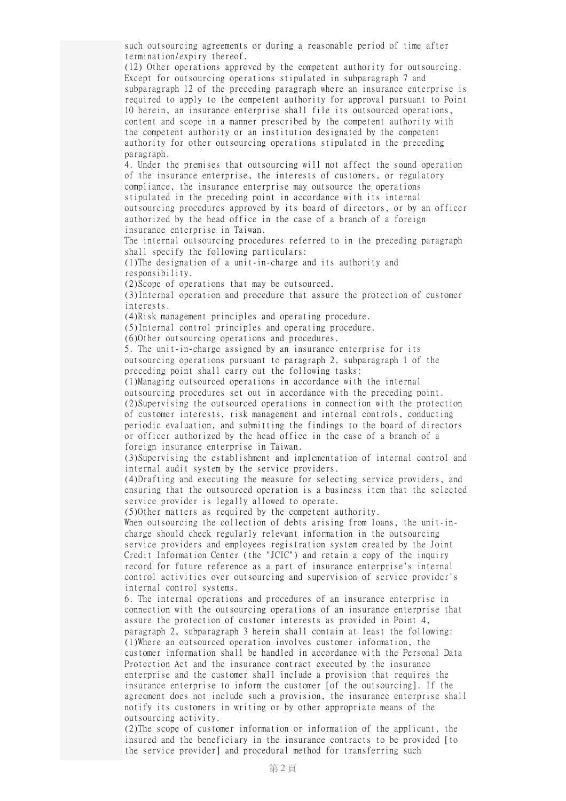such outsourcing agreements or during a reasonable period of time after termination/expiry thereof.

(12) Other operations approved by the competent authority for outsourcing. Except for outsourcing operations stipulated in subparagraph 7 and subparagraph 12 of the preceding paragraph where an insurance enterprise is required to apply to the competent authority for approval pursuant to Point 10 herein, an insurance enterprise shall file its outsourced operations, content and scope in a manner prescribed by the competent authority with the competent authority or an institution designated by the competent authority for other outsourcing operations stipulated in the preceding paragraph.

4. Under the premises that outsourcing will not affect the sound operation of the insurance enterprise, the interests of customers, or regulatory compliance, the insurance enterprise may outsource the operations stipulated in the preceding point in accordance with its internal outsourcing procedures approved by its board of directors, or by an officer authorized by the head office in the case of a branch of a foreign insurance enterprise in Taiwan.

The internal outsourcing procedures referred to in the preceding paragraph shall specify the following particulars:

(1)The designation of a unit-in-charge and its authority and responsibility.

(2)Scope of operations that may be outsourced.

(3)Internal operation and procedure that assure the protection of customer interests.

(4)Risk management principles and operating procedure.

(5)Internal control principles and operating procedure.

(6)Other outsourcing operations and procedures.

5. The unit-in-charge assigned by an insurance enterprise for its outsourcing operations pursuant to paragraph 2, subparagraph 1 of the preceding point shall carry out the following tasks:

(1)Managing outsourced operations in accordance with the internal outsourcing procedures set out in accordance with the preceding point. (2)Supervising the outsourced operations in connection with the protection of customer interests, risk management and internal controls, conducting periodic evaluation, and submitting the findings to the board of directors or officer authorized by the head office in the case of a branch of a foreign insurance enterprise in Taiwan.

(3)Supervising the establishment and implementation of internal control and internal audit system by the service providers.

(4)Drafting and executing the measure for selecting service providers, and ensuring that the outsourced operation is a business item that the selected service provider is legally allowed to operate.

(5)Other matters as required by the competent authority.

When outsourcing the collection of debts arising from loans, the unit-incharge should check regularly relevant information in the outsourcing service providers and employees registration system created by the Joint Credit Information Center (the "JCIC") and retain a copy of the inquiry record for future reference as a part of insurance enterprise's internal control activities over outsourcing and supervision of service provider's internal control systems.

6. The internal operations and procedures of an insurance enterprise in connection with the outsourcing operations of an insurance enterprise that assure the protection of customer interests as provided in Point 4, paragraph 2, subparagraph 3 herein shall contain at least the following: (1)Where an outsourced operation involves customer information, the customer information shall be handled in accordance with the Personal Data Protection Act and the insurance contract executed by the insurance enterprise and the customer shall include a provision that requires the insurance enterprise to inform the customer [of the outsourcing]. If the agreement does not include such a provision, the insurance enterprise shall notify its customers in writing or by other appropriate means of the outsourcing activity.

(2)The scope of customer information or information of the applicant, the insured and the beneficiary in the insurance contracts to be provided [to the service provider] and procedural method for transferring such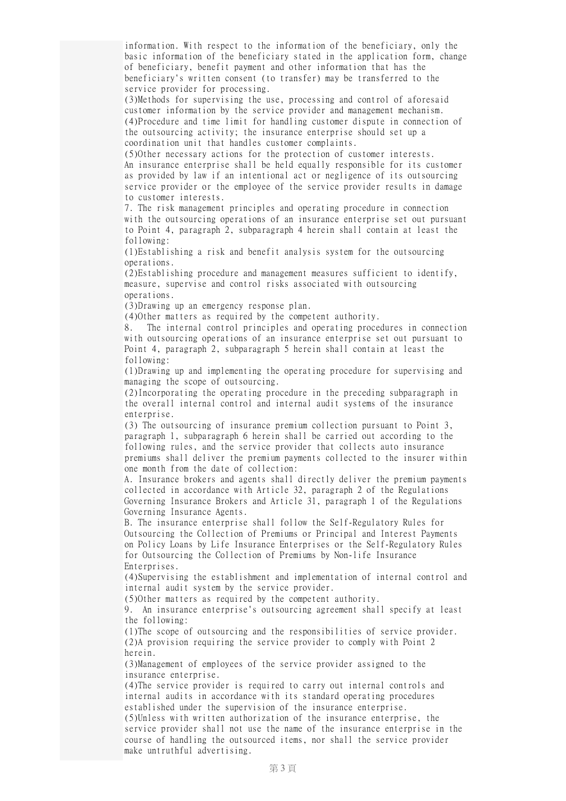information. With respect to the information of the beneficiary, only the basic information of the beneficiary stated in the application form, change of beneficiary, benefit payment and other information that has the beneficiary's written consent (to transfer) may be transferred to the service provider for processing.

(3)Methods for supervising the use, processing and control of aforesaid customer information by the service provider and management mechanism. (4)Procedure and time limit for handling customer dispute in connection of the outsourcing activity; the insurance enterprise should set up a coordination unit that handles customer complaints.

(5)Other necessary actions for the protection of customer interests. An insurance enterprise shall be held equally responsible for its customer as provided by law if an intentional act or negligence of its outsourcing service provider or the employee of the service provider results in damage to customer interests.

7. The risk management principles and operating procedure in connection with the outsourcing operations of an insurance enterprise set out pursuant to Point 4, paragraph 2, subparagraph 4 herein shall contain at least the following:

(1)Establishing a risk and benefit analysis system for the outsourcing operations.

(2)Establishing procedure and management measures sufficient to identify, measure, supervise and control risks associated with outsourcing operations.

(3)Drawing up an emergency response plan.

(4)Other matters as required by the competent authority.

8. The internal control principles and operating procedures in connection with outsourcing operations of an insurance enterprise set out pursuant to Point 4, paragraph 2, subparagraph 5 herein shall contain at least the following:

(1)Drawing up and implementing the operating procedure for supervising and managing the scope of outsourcing.

(2)Incorporating the operating procedure in the preceding subparagraph in the overall internal control and internal audit systems of the insurance enterprise.

(3) The outsourcing of insurance premium collection pursuant to Point 3, paragraph 1, subparagraph 6 herein shall be carried out according to the following rules, and the service provider that collects auto insurance premiums shall deliver the premium payments collected to the insurer within one month from the date of collection:

A. Insurance brokers and agents shall directly deliver the premium payments collected in accordance with Article 32, paragraph 2 of the Regulations Governing Insurance Brokers and Article 31, paragraph 1 of the Regulations Governing Insurance Agents.

B. The insurance enterprise shall follow the Self-Regulatory Rules for Outsourcing the Collection of Premiums or Principal and Interest Payments on Policy Loans by Life Insurance Enterprises or the Self-Regulatory Rules for Outsourcing the Collection of Premiums by Non-life Insurance Enterprises.

(4)Supervising the establishment and implementation of internal control and internal audit system by the service provider.

(5)Other matters as required by the competent authority.

9. An insurance enterprise's outsourcing agreement shall specify at least the following:

(1)The scope of outsourcing and the responsibilities of service provider. (2)A provision requiring the service provider to comply with Point 2 herein.

(3)Management of employees of the service provider assigned to the insurance enterprise.

(4)The service provider is required to carry out internal controls and internal audits in accordance with its standard operating procedures established under the supervision of the insurance enterprise.

(5)Unless with written authorization of the insurance enterprise, the service provider shall not use the name of the insurance enterprise in the course of handling the outsourced items, nor shall the service provider make untruthful advertising.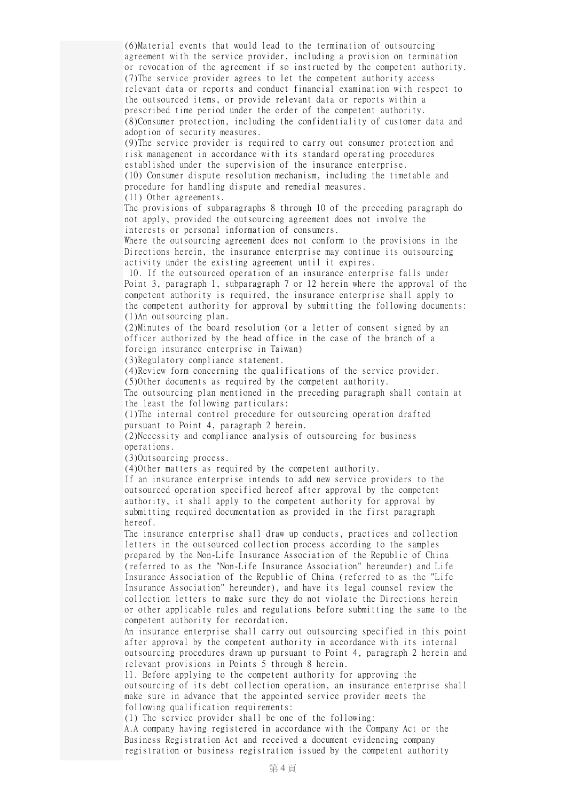(6)Material events that would lead to the termination of outsourcing agreement with the service provider, including a provision on termination or revocation of the agreement if so instructed by the competent authority. (7)The service provider agrees to let the competent authority access relevant data or reports and conduct financial examination with respect to the outsourced items, or provide relevant data or reports within a prescribed time period under the order of the competent authority. (8)Consumer protection, including the confidentiality of customer data and adoption of security measures.

(9)The service provider is required to carry out consumer protection and risk management in accordance with its standard operating procedures established under the supervision of the insurance enterprise. (10) Consumer dispute resolution mechanism, including the timetable and procedure for handling dispute and remedial measures.

(11) Other agreements.

The provisions of subparagraphs 8 through 10 of the preceding paragraph do not apply, provided the outsourcing agreement does not involve the interests or personal information of consumers.

Where the outsourcing agreement does not conform to the provisions in the Directions herein, the insurance enterprise may continue its outsourcing activity under the existing agreement until it expires.

10. If the outsourced operation of an insurance enterprise falls under Point 3, paragraph 1, subparagraph 7 or 12 herein where the approval of the competent authority is required, the insurance enterprise shall apply to the competent authority for approval by submitting the following documents: (1)An outsourcing plan.

(2)Minutes of the board resolution (or a letter of consent signed by an officer authorized by the head office in the case of the branch of a foreign insurance enterprise in Taiwan)

(3)Regulatory compliance statement.

(4)Review form concerning the qualifications of the service provider. (5)Other documents as required by the competent authority.

The outsourcing plan mentioned in the preceding paragraph shall contain at the least the following particulars:

(1)The internal control procedure for outsourcing operation drafted pursuant to Point 4, paragraph 2 herein.

(2)Necessity and compliance analysis of outsourcing for business operations.

(3)Outsourcing process.

(4)Other matters as required by the competent authority.

If an insurance enterprise intends to add new service providers to the outsourced operation specified hereof after approval by the competent authority, it shall apply to the competent authority for approval by submitting required documentation as provided in the first paragraph hereof.

The insurance enterprise shall draw up conducts, practices and collection letters in the outsourced collection process according to the samples prepared by the Non-Life Insurance Association of the Republic of China (referred to as the "Non-Life Insurance Association" hereunder) and Life Insurance Association of the Republic of China (referred to as the "Life Insurance Association" hereunder), and have its legal counsel review the collection letters to make sure they do not violate the Directions herein or other applicable rules and regulations before submitting the same to the competent authority for recordation.

An insurance enterprise shall carry out outsourcing specified in this point after approval by the competent authority in accordance with its internal outsourcing procedures drawn up pursuant to Point 4, paragraph 2 herein and relevant provisions in Points 5 through 8 herein.

11. Before applying to the competent authority for approving the outsourcing of its debt collection operation, an insurance enterprise shall make sure in advance that the appointed service provider meets the following qualification requirements:

(1) The service provider shall be one of the following:

A.A company having registered in accordance with the Company Act or the Business Registration Act and received a document evidencing company registration or business registration issued by the competent authority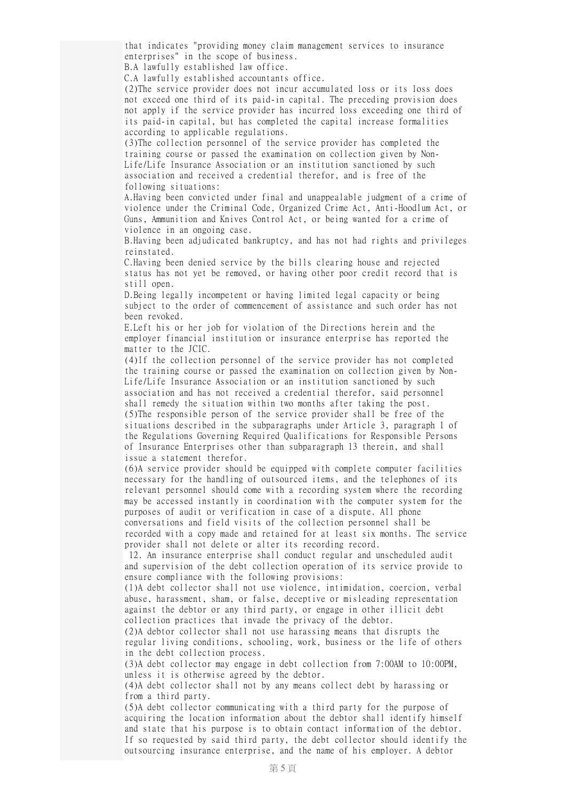that indicates "providing money claim management services to insurance enterprises" in the scope of business.

B.A lawfully established law office.

C.A lawfully established accountants office.

(2)The service provider does not incur accumulated loss or its loss does not exceed one third of its paid-in capital. The preceding provision does not apply if the service provider has incurred loss exceeding one third of its paid-in capital, but has completed the capital increase formalities according to applicable regulations.

(3)The collection personnel of the service provider has completed the training course or passed the examination on collection given by Non-Life/Life Insurance Association or an institution sanctioned by such association and received a credential therefor, and is free of the following situations:

A.Having been convicted under final and unappealable judgment of a crime of violence under the Criminal Code, Organized Crime Act, Anti-Hoodlum Act, or Guns, Ammunition and Knives Control Act, or being wanted for a crime of violence in an ongoing case.

B.Having been adjudicated bankruptcy, and has not had rights and privileges reinstated.

C.Having been denied service by the bills clearing house and rejected status has not yet be removed, or having other poor credit record that is still open.

D.Being legally incompetent or having limited legal capacity or being subject to the order of commencement of assistance and such order has not been revoked.

E.Left his or her job for violation of the Directions herein and the employer financial institution or insurance enterprise has reported the matter to the JCIC.

(4)If the collection personnel of the service provider has not completed the training course or passed the examination on collection given by Non-Life/Life Insurance Association or an institution sanctioned by such association and has not received a credential therefor, said personnel shall remedy the situation within two months after taking the post. (5)The responsible person of the service provider shall be free of the situations described in the subparagraphs under Article 3, paragraph 1 of the Regulations Governing Required Qualifications for Responsible Persons of Insurance Enterprises other than subparagraph 13 therein, and shall issue a statement therefor.

(6)A service provider should be equipped with complete computer facilities necessary for the handling of outsourced items, and the telephones of its relevant personnel should come with a recording system where the recording may be accessed instantly in coordination with the computer system for the purposes of audit or verification in case of a dispute. All phone conversations and field visits of the collection personnel shall be recorded with a copy made and retained for at least six months. The service provider shall not delete or alter its recording record.

12. An insurance enterprise shall conduct regular and unscheduled audit and supervision of the debt collection operation of its service provide to ensure compliance with the following provisions:

(1)A debt collector shall not use violence, intimidation, coercion, verbal abuse, harassment, sham, or false, deceptive or misleading representation against the debtor or any third party, or engage in other illicit debt collection practices that invade the privacy of the debtor.

(2)A debtor collector shall not use harassing means that disrupts the regular living conditions, schooling, work, business or the life of others in the debt collection process.

(3)A debt collector may engage in debt collection from 7:00AM to 10:00PM, unless it is otherwise agreed by the debtor.

(4)A debt collector shall not by any means collect debt by harassing or from a third party.

(5)A debt collector communicating with a third party for the purpose of acquiring the location information about the debtor shall identify himself and state that his purpose is to obtain contact information of the debtor. If so requested by said third party, the debt collector should identify the outsourcing insurance enterprise, and the name of his employer. A debtor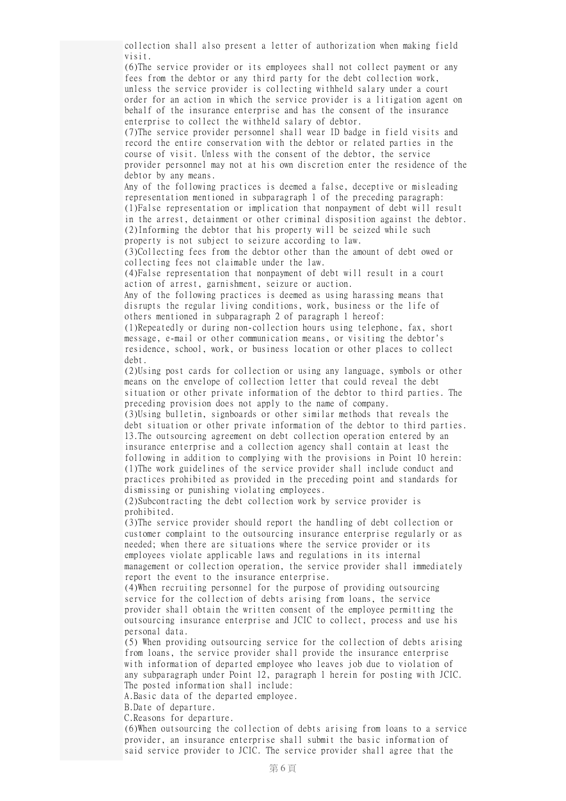collection shall also present a letter of authorization when making field visit.

(6)The service provider or its employees shall not collect payment or any fees from the debtor or any third party for the debt collection work, unless the service provider is collecting withheld salary under a court order for an action in which the service provider is a litigation agent on behalf of the insurance enterprise and has the consent of the insurance enterprise to collect the withheld salary of debtor.

(7)The service provider personnel shall wear ID badge in field visits and record the entire conservation with the debtor or related parties in the course of visit. Unless with the consent of the debtor, the service provider personnel may not at his own discretion enter the residence of the debtor by any means.

Any of the following practices is deemed a false, deceptive or misleading representation mentioned in subparagraph 1 of the preceding paragraph: (1)False representation or implication that nonpayment of debt will result in the arrest, detainment or other criminal disposition against the debtor. (2)Informing the debtor that his property will be seized while such property is not subject to seizure according to law.

(3)Collecting fees from the debtor other than the amount of debt owed or collecting fees not claimable under the law.

(4)False representation that nonpayment of debt will result in a court action of arrest, garnishment, seizure or auction.

Any of the following practices is deemed as using harassing means that disrupts the regular living conditions, work, business or the life of others mentioned in subparagraph 2 of paragraph 1 hereof:

(1)Repeatedly or during non-collection hours using telephone, fax, short message, e-mail or other communication means, or visiting the debtor's residence, school, work, or business location or other places to collect debt.

(2)Using post cards for collection or using any language, symbols or other means on the envelope of collection letter that could reveal the debt situation or other private information of the debtor to third parties. The preceding provision does not apply to the name of company.

(3)Using bulletin, signboards or other similar methods that reveals the debt situation or other private information of the debtor to third parties. 13.The outsourcing agreement on debt collection operation entered by an insurance enterprise and a collection agency shall contain at least the following in addition to complying with the provisions in Point 10 herein: (1)The work guidelines of the service provider shall include conduct and practices prohibited as provided in the preceding point and standards for dismissing or punishing violating employees.

(2)Subcontracting the debt collection work by service provider is prohibited.

(3)The service provider should report the handling of debt collection or customer complaint to the outsourcing insurance enterprise regularly or as needed; when there are situations where the service provider or its employees violate applicable laws and regulations in its internal management or collection operation, the service provider shall immediately report the event to the insurance enterprise.

(4)When recruiting personnel for the purpose of providing outsourcing service for the collection of debts arising from loans, the service provider shall obtain the written consent of the employee permitting the outsourcing insurance enterprise and JCIC to collect, process and use his personal data.

(5) When providing outsourcing service for the collection of debts arising from loans, the service provider shall provide the insurance enterprise with information of departed employee who leaves job due to violation of any subparagraph under Point 12, paragraph 1 herein for posting with JCIC. The posted information shall include:

A.Basic data of the departed employee.

B.Date of departure.

C.Reasons for departure.

(6)When outsourcing the collection of debts arising from loans to a service provider, an insurance enterprise shall submit the basic information of said service provider to JCIC. The service provider shall agree that the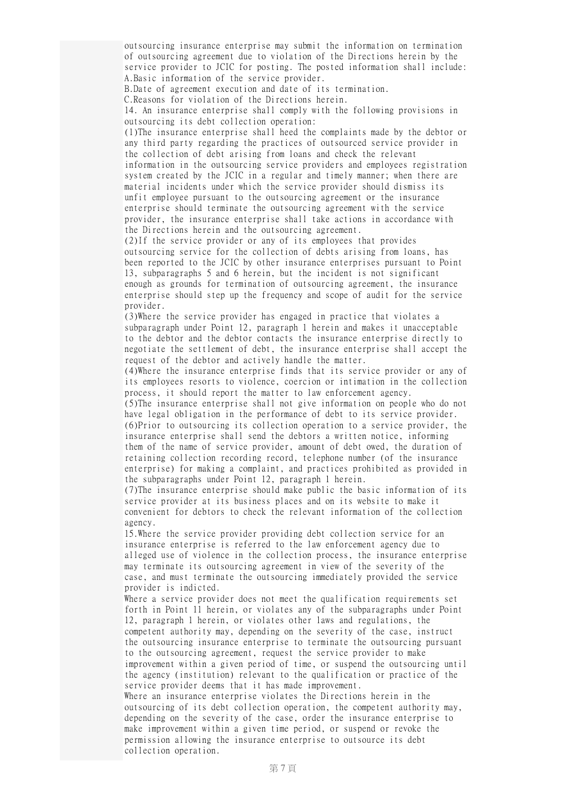outsourcing insurance enterprise may submit the information on termination of outsourcing agreement due to violation of the Directions herein by the service provider to JCIC for posting. The posted information shall include: A.Basic information of the service provider.

B.Date of agreement execution and date of its termination.

C.Reasons for violation of the Directions herein.

14. An insurance enterprise shall comply with the following provisions in outsourcing its debt collection operation:

(1)The insurance enterprise shall heed the complaints made by the debtor or any third party regarding the practices of outsourced service provider in the collection of debt arising from loans and check the relevant information in the outsourcing service providers and employees registration system created by the JCIC in a regular and timely manner; when there are material incidents under which the service provider should dismiss its unfit employee pursuant to the outsourcing agreement or the insurance enterprise should terminate the outsourcing agreement with the service provider, the insurance enterprise shall take actions in accordance with the Directions herein and the outsourcing agreement.

(2)If the service provider or any of its employees that provides outsourcing service for the collection of debts arising from loans, has been reported to the JCIC by other insurance enterprises pursuant to Point 13, subparagraphs 5 and 6 herein, but the incident is not significant enough as grounds for termination of outsourcing agreement, the insurance enterprise should step up the frequency and scope of audit for the service provider.

(3)Where the service provider has engaged in practice that violates a subparagraph under Point 12, paragraph 1 herein and makes it unacceptable to the debtor and the debtor contacts the insurance enterprise directly to negotiate the settlement of debt, the insurance enterprise shall accept the request of the debtor and actively handle the matter.

(4)Where the insurance enterprise finds that its service provider or any of its employees resorts to violence, coercion or intimation in the collection process, it should report the matter to law enforcement agency.

(5)The insurance enterprise shall not give information on people who do not have legal obligation in the performance of debt to its service provider. (6)Prior to outsourcing its collection operation to a service provider, the insurance enterprise shall send the debtors a written notice, informing them of the name of service provider, amount of debt owed, the duration of retaining collection recording record, telephone number (of the insurance enterprise) for making a complaint, and practices prohibited as provided in the subparagraphs under Point 12, paragraph 1 herein.

(7)The insurance enterprise should make public the basic information of its service provider at its business places and on its website to make it convenient for debtors to check the relevant information of the collection agency.

15.Where the service provider providing debt collection service for an insurance enterprise is referred to the law enforcement agency due to alleged use of violence in the collection process, the insurance enterprise may terminate its outsourcing agreement in view of the severity of the case, and must terminate the outsourcing immediately provided the service provider is indicted.

Where a service provider does not meet the qualification requirements set forth in Point 11 herein, or violates any of the subparagraphs under Point 12, paragraph 1 herein, or violates other laws and regulations, the competent authority may, depending on the severity of the case, instruct the outsourcing insurance enterprise to terminate the outsourcing pursuant to the outsourcing agreement, request the service provider to make improvement within a given period of time, or suspend the outsourcing until the agency (institution) relevant to the qualification or practice of the service provider deems that it has made improvement.

Where an insurance enterprise violates the Directions herein in the outsourcing of its debt collection operation, the competent authority may, depending on the severity of the case, order the insurance enterprise to make improvement within a given time period, or suspend or revoke the permission allowing the insurance enterprise to outsource its debt collection operation.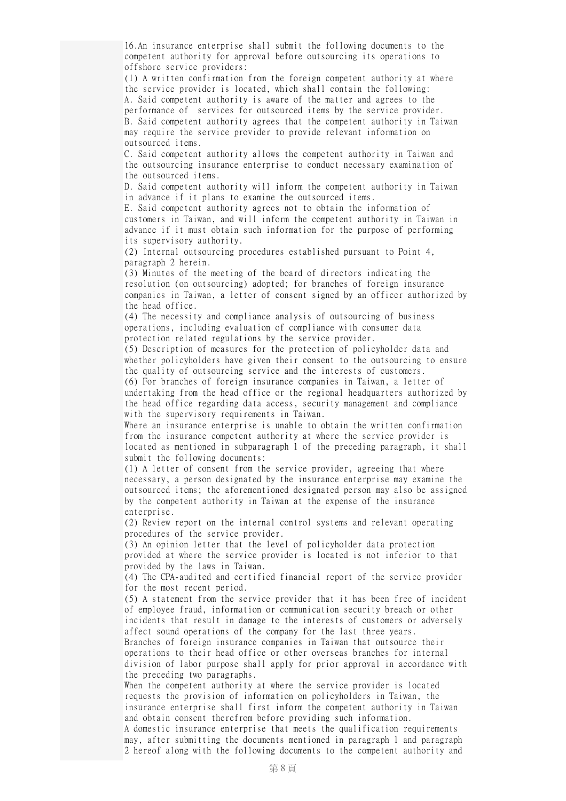16.An insurance enterprise shall submit the following documents to the competent authority for approval before outsourcing its operations to offshore service providers:

(1) A written confirmation from the foreign competent authority at where the service provider is located, which shall contain the following: A. Said competent authority is aware of the matter and agrees to the performance of services for outsourced items by the service provider. B. Said competent authority agrees that the competent authority in Taiwan may require the service provider to provide relevant information on outsourced items.

C. Said competent authority allows the competent authority in Taiwan and the outsourcing insurance enterprise to conduct necessary examination of the outsourced items.

D. Said competent authority will inform the competent authority in Taiwan in advance if it plans to examine the outsourced items.

E. Said competent authority agrees not to obtain the information of customers in Taiwan, and will inform the competent authority in Taiwan in advance if it must obtain such information for the purpose of performing its supervisory authority.

(2) Internal outsourcing procedures established pursuant to Point 4, paragraph 2 herein.

(3) Minutes of the meeting of the board of directors indicating the resolution (on outsourcing) adopted; for branches of foreign insurance companies in Taiwan, a letter of consent signed by an officer authorized by the head office.

(4) The necessity and compliance analysis of outsourcing of business operations, including evaluation of compliance with consumer data protection related regulations by the service provider.

(5) Description of measures for the protection of policyholder data and whether policyholders have given their consent to the outsourcing to ensure the quality of outsourcing service and the interests of customers.

(6) For branches of foreign insurance companies in Taiwan, a letter of undertaking from the head office or the regional headquarters authorized by the head office regarding data access, security management and compliance with the supervisory requirements in Taiwan.

Where an insurance enterprise is unable to obtain the written confirmation from the insurance competent authority at where the service provider is located as mentioned in subparagraph 1 of the preceding paragraph, it shall submit the following documents:

(1) A letter of consent from the service provider, agreeing that where necessary, a person designated by the insurance enterprise may examine the outsourced items; the aforementioned designated person may also be assigned by the competent authority in Taiwan at the expense of the insurance enterprise.

(2) Review report on the internal control systems and relevant operating procedures of the service provider.

(3) An opinion letter that the level of policyholder data protection provided at where the service provider is located is not inferior to that provided by the laws in Taiwan.

(4) The CPA-audited and certified financial report of the service provider for the most recent period.

(5) A statement from the service provider that it has been free of incident of employee fraud, information or communication security breach or other incidents that result in damage to the interests of customers or adversely affect sound operations of the company for the last three years. Branches of foreign insurance companies in Taiwan that outsource their operations to their head office or other overseas branches for internal division of labor purpose shall apply for prior approval in accordance with the preceding two paragraphs.

When the competent authority at where the service provider is located requests the provision of information on policyholders in Taiwan, the insurance enterprise shall first inform the competent authority in Taiwan and obtain consent therefrom before providing such information.

A domestic insurance enterprise that meets the qualification requirements may, after submitting the documents mentioned in paragraph 1 and paragraph 2 hereof along with the following documents to the competent authority and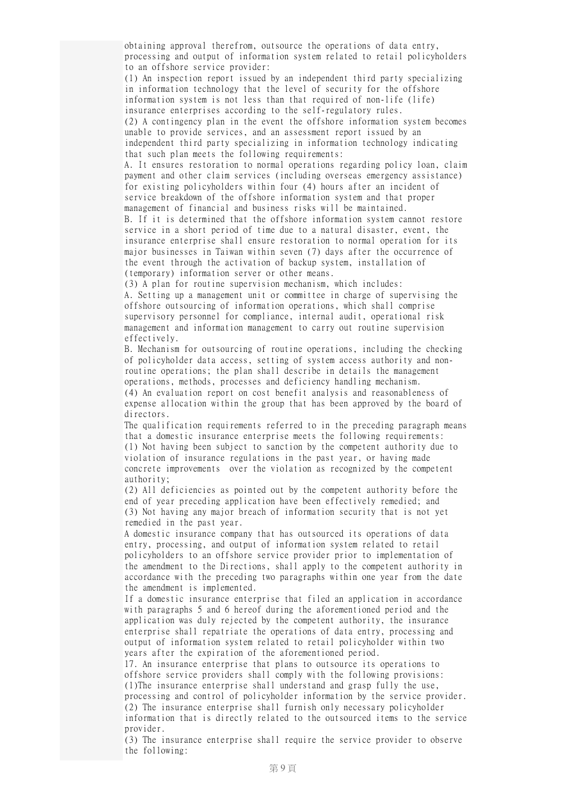obtaining approval therefrom, outsource the operations of data entry, processing and output of information system related to retail policyholders to an offshore service provider:

(1) An inspection report issued by an independent third party specializing in information technology that the level of security for the offshore information system is not less than that required of non-life (life) insurance enterprises according to the self-regulatory rules. (2) A contingency plan in the event the offshore information system becomes unable to provide services, and an assessment report issued by an independent third party specializing in information technology indicating that such plan meets the following requirements:

A. It ensures restoration to normal operations regarding policy loan, claim payment and other claim services (including overseas emergency assistance) for existing policyholders within four (4) hours after an incident of service breakdown of the offshore information system and that proper management of financial and business risks will be maintained. B. If it is determined that the offshore information system cannot restore service in a short period of time due to a natural disaster, event, the insurance enterprise shall ensure restoration to normal operation for its major businesses in Taiwan within seven (7) days after the occurrence of the event through the activation of backup system, installation of

(temporary) information server or other means.

(3) A plan for routine supervision mechanism, which includes: A. Setting up a management unit or committee in charge of supervising the offshore outsourcing of information operations, which shall comprise supervisory personnel for compliance, internal audit, operational risk management and information management to carry out routine supervision effectively.

B. Mechanism for outsourcing of routine operations, including the checking of policyholder data access, setting of system access authority and nonroutine operations; the plan shall describe in details the management operations, methods, processes and deficiency handling mechanism. (4) An evaluation report on cost benefit analysis and reasonableness of expense allocation within the group that has been approved by the board of directors.

The qualification requirements referred to in the preceding paragraph means that a domestic insurance enterprise meets the following requirements: (1) Not having been subject to sanction by the competent authority due to violation of insurance regulations in the past year, or having made concrete improvements over the violation as recognized by the competent authority;

(2) All deficiencies as pointed out by the competent authority before the end of year preceding application have been effectively remedied; and (3) Not having any major breach of information security that is not yet remedied in the past year.

A domestic insurance company that has outsourced its operations of data entry, processing, and output of information system related to retail policyholders to an offshore service provider prior to implementation of the amendment to the Directions, shall apply to the competent authority in accordance with the preceding two paragraphs within one year from the date the amendment is implemented.

If a domestic insurance enterprise that filed an application in accordance with paragraphs 5 and 6 hereof during the aforementioned period and the application was duly rejected by the competent authority, the insurance enterprise shall repatriate the operations of data entry, processing and output of information system related to retail policyholder within two years after the expiration of the aforementioned period.

17. An insurance enterprise that plans to outsource its operations to offshore service providers shall comply with the following provisions: (1)The insurance enterprise shall understand and grasp fully the use, processing and control of policyholder information by the service provider. (2) The insurance enterprise shall furnish only necessary policyholder information that is directly related to the outsourced items to the service provider.

(3) The insurance enterprise shall require the service provider to observe the following: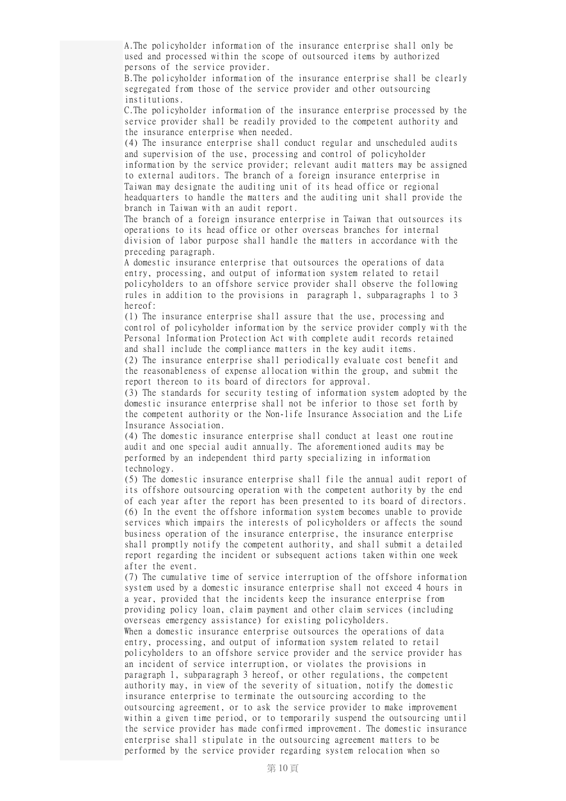A.The policyholder information of the insurance enterprise shall only be used and processed within the scope of outsourced items by authorized persons of the service provider.

B.The policyholder information of the insurance enterprise shall be clearly segregated from those of the service provider and other outsourcing institutions.

C.The policyholder information of the insurance enterprise processed by the service provider shall be readily provided to the competent authority and the insurance enterprise when needed.

(4) The insurance enterprise shall conduct regular and unscheduled audits and supervision of the use, processing and control of policyholder information by the service provider; relevant audit matters may be assigned to external auditors. The branch of a foreign insurance enterprise in Taiwan may designate the auditing unit of its head office or regional headquarters to handle the matters and the auditing unit shall provide the branch in Taiwan with an audit report.

The branch of a foreign insurance enterprise in Taiwan that outsources its operations to its head office or other overseas branches for internal division of labor purpose shall handle the matters in accordance with the preceding paragraph.

A domestic insurance enterprise that outsources the operations of data entry, processing, and output of information system related to retail policyholders to an offshore service provider shall observe the following rules in addition to the provisions in paragraph 1, subparagraphs 1 to 3 hereof:

(1) The insurance enterprise shall assure that the use, processing and control of policyholder information by the service provider comply with the Personal Information Protection Act with complete audit records retained and shall include the compliance matters in the key audit items.

(2) The insurance enterprise shall periodically evaluate cost benefit and the reasonableness of expense allocation within the group, and submit the report thereon to its board of directors for approval.

(3) The standards for security testing of information system adopted by the domestic insurance enterprise shall not be inferior to those set forth by the competent authority or the Non-life Insurance Association and the Life Insurance Association.

(4) The domestic insurance enterprise shall conduct at least one routine audit and one special audit annually. The aforementioned audits may be performed by an independent third party specializing in information technology.

(5) The domestic insurance enterprise shall file the annual audit report of its offshore outsourcing operation with the competent authority by the end of each year after the report has been presented to its board of directors. (6) In the event the offshore information system becomes unable to provide services which impairs the interests of policyholders or affects the sound business operation of the insurance enterprise, the insurance enterprise shall promptly notify the competent authority, and shall submit a detailed report regarding the incident or subsequent actions taken within one week after the event.

(7) The cumulative time of service interruption of the offshore information system used by a domestic insurance enterprise shall not exceed 4 hours in a year, provided that the incidents keep the insurance enterprise from providing policy loan, claim payment and other claim services (including overseas emergency assistance) for existing policyholders.

When a domestic insurance enterprise outsources the operations of data entry, processing, and output of information system related to retail policyholders to an offshore service provider and the service provider has an incident of service interruption, or violates the provisions in paragraph 1, subparagraph 3 hereof, or other regulations, the competent authority may, in view of the severity of situation, notify the domestic insurance enterprise to terminate the outsourcing according to the outsourcing agreement, or to ask the service provider to make improvement within a given time period, or to temporarily suspend the outsourcing until the service provider has made confirmed improvement. The domestic insurance enterprise shall stipulate in the outsourcing agreement matters to be performed by the service provider regarding system relocation when so